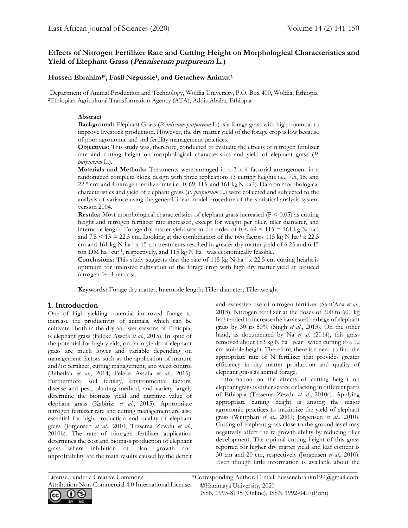# **Effects of Nitrogen Fertilizer Rate and Cutting Height on Morphological Characteristics and Yield of Elephant Grass (Pennisetum purpureum L.)**

## **Hussen Ebrahim1\*, Fasil Negussie<sup>1</sup> , and Getachew Animut<sup>2</sup>**

<sup>1</sup>Department of Animal Production and Technology, Woldia University, P.O. Box 400, Woldia, Ethiopia <sup>2</sup>Ethiopian Agricultural Transformation Agency (ATA), Addis Ababa, Ethiopia

#### **Abstract**

**Background:** Elephant Grass (*Pennisetum purpureum* L.) is a forage grass with high potential to improve livestock production. However, the dry matter yield of the forage crop is low because of poor agronomic and soil fertility management practices.

**Objectives:** This study was, therefore, conducted to evaluate the effects of nitrogen fertilizer rate and cutting height on morphological characteristics and yield of elephant grass (*P. purpureum* L.).

**Materials and Methods:** Treatments were arranged in a 3 x 4 factorial arrangement in a randomized complete block design with three replications (3 cutting heights i.e., 7.5, 15, and 22.5 cm; and 4 nitrogen fertilizer rate i.e., 0, 69, 115, and 161 kg N ha-1 ). Data on morphological characteristics and yield of elephant grass (*P. purpureum* L.) were collected and subjected to the analysis of variance using the general linear model procedure of the statistical analysis system version 2004.

**Results:** Most morphological characteristics of elephant grass increased (P < 0.05) as cutting height and nitrogen fertilizer rate increased, except for weight per tiller, tiller diameter, and internode length. Forage dry matter yield was in the order of  $0 \le 69 \le 115 = 161$  kg N ha<sup>-1</sup> and  $7.5 \le 15 = 22.5$  cm. Looking at the combination of the two factors 115 kg N ha<sup>-1</sup> x 22.5 cm and 161 kg N ha<sup>-1</sup> x 15 cm treatments resulted in greater dry matter yield of 6.25 and 6.45 ton DM ha<sup>-1</sup> cut<sup>-1</sup>, respectively, and 115 kg N ha<sup>-1</sup> was economically feasible.

**Conclusions:** This study suggests that the rate of 115 kg N ha<sup>-1</sup> x 22.5 cm cutting height is optimum for intensive cultivation of the forage crop with high dry matter yield at reduced nitrogen fertilizer cost.

 $\mathcal{L}_\mathcal{L} = \{ \mathcal{L}_\mathcal{L} = \{ \mathcal{L}_\mathcal{L} = \{ \mathcal{L}_\mathcal{L} = \{ \mathcal{L}_\mathcal{L} = \{ \mathcal{L}_\mathcal{L} = \{ \mathcal{L}_\mathcal{L} = \{ \mathcal{L}_\mathcal{L} = \{ \mathcal{L}_\mathcal{L} = \{ \mathcal{L}_\mathcal{L} = \{ \mathcal{L}_\mathcal{L} = \{ \mathcal{L}_\mathcal{L} = \{ \mathcal{L}_\mathcal{L} = \{ \mathcal{L}_\mathcal{L} = \{ \mathcal{L}_\mathcal{$ 

**Keywords:** Forage dry matter; Internode length; Tiller diameter; Tiller weight

## **1. Introduction**

One of high yielding potential improved forage to increase the productivity of animals, which can be cultivated both in the dry and wet seasons of Ethiopia, is elephant grass (Feleke Assefa *et al*., 2015). In spite of the potential for high yields, on-farm yields of elephant grass are much lower and variable depending on management factors such as the application of manure and/or fertilizer, cutting management, and weed control (Rahetlah *et al*., 2014; Feleke Assefa *et al*., 2015). Furthermore, soil fertility, environmental factors, disease and pest, planting method, and variety largely determine the biomass yield and nutritive value of elephant grass (Kabirizi *et al*., 2015). Appropriate nitrogen fertilizer rate and cutting management are also essential for high production and quality of elephant grass (Jorgensen *et al*., 2010; Tessema Zewdu *et al*., 2010b). The rate of nitrogen fertilizer application determines the cost and biomass production of elephant grass where inhibition of plant growth and unprofitability are the main results caused by the deficit and excessive use of nitrogen fertilizer (Sant'Ana *et al*., 2018). Nitrogen fertilizer at the doses of 200 to 600 kg ha-1 tended to increase the harvested herbage of elephant grass by 30 to 50% (Singh *et al*., 2013). On the other hand, as documented by Na *et al*. (2014), this grass removed about 183 kg N ha<sup>-1</sup> year<sup>-1</sup> when cutting to a 12 cm stubble height. Therefore, there is a need to find the appropriate rate of N fertilizer that provides greater efficiency in dry matter production and quality of elephant grass as animal forage.

 Information on the effects of cutting height on elephant grass is either scarce or lacking in different parts of Ethiopia (Tessema Zewdu *et al*., 2010a). Applying appropriate cutting height is among the major agronomic practices to maximize the yield of elephant grass (Wijitphan *et al*., 2009; Jorgensen *et al*., 2010). Cutting of elephant grass close to the ground level may negatively affect the re-growth ability by reducing tiller development. The optimal cutting height of this grass reported for higher dry matter yield and leaf content is 30 cm and 20 cm, respectively (Jørgensen *et al*., 2010). Even though little information is available about the



©Haramaya University, 2020 Licensed under a Creative Commons \*Corresponding Author. E-mail: hussenebrahim199@gmail.com

ISSN 1993-8195 (Online), ISSN 1992-0407(Print)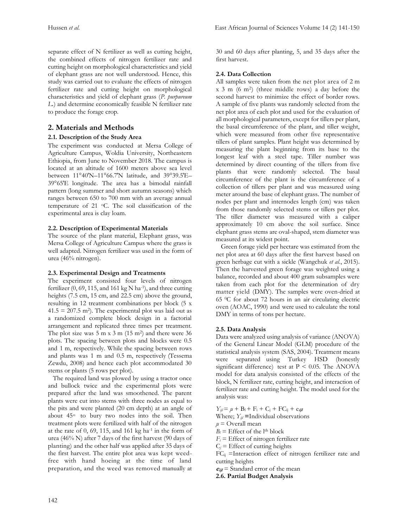separate effect of N fertilizer as well as cutting height, the combined effects of nitrogen fertilizer rate and cutting height on morphological characteristics and yield of elephant grass are not well understood. Hence, this study was carried out to evaluate the effects of nitrogen fertilizer rate and cutting height on morphological characteristics and yield of elephant grass (*P. purpureum L.*) and determine economically feasible N fertilizer rate to produce the forage crop.

## **2. Materials and Methods**

## **2.1. Description of the Study Area**

The experiment was conducted at Mersa College of Agriculture Campus, Woldia University, Northeastern Ethiopia, from June to November 2018. The campus is located at an altitude of 1600 meters above sea level between 11°40′N–11°66.7′N latitude, and 39°39.5′E– 39°65′E longitude. The area has a bimodal rainfall pattern (long summer and short autumn seasons) which ranges between 650 to 700 mm with an average annual temperature of 21 oC. The soil classification of the experimental area is clay loam.

#### **2.2. Description of Experimental Materials**

The source of the plant material, Elephant grass, was Mersa College of Agriculture Campus where the grass is well adapted. Nitrogen fertilizer was used in the form of urea (46% nitrogen).

#### **2.3. Experimental Design and Treatments**

The experiment consisted four levels of nitrogen fertilizer  $(0, 69, 115,$  and  $161 \text{ kg N}$  ha<sup>-1</sup>), and three cutting heights (7.5 cm, 15 cm, and 22.5 cm) above the ground, resulting in 12 treatment combinations per block (5 x  $41.5 = 207.5$  m<sup>2</sup>). The experimental plot was laid out as a randomized complete block design in a factorial arrangement and replicated three times per treatment. The plot size was  $5 \text{ m} \times 3 \text{ m}$  ( $15 \text{ m}^2$ ) and there were  $36$ plots. The spacing between plots and blocks were 0.5 and 1 m, respectively. While the spacing between rows and plants was 1 m and 0.5 m, respectively (Tessema Zewdu, 2008) and hence each plot accommodated 30 stems or plants (5 rows per plot).

 The required land was plowed by using a tractor once and bullock twice and the experimental plots were prepared after the land was smoothened. The parent plants were cut into stems with three nodes as equal to the pits and were planted (20 cm depth) at an angle of about 45<sup>o</sup> to bury two nodes into the soil. Then treatment plots were fertilized with half of the nitrogen at the rate of  $0$ ,  $69$ ,  $115$ , and  $161$  kg ha<sup>-1</sup> in the form of urea (46% N) after 7 days of the first harvest (90 days of planting) and the other half was applied after 35 days of the first harvest. The entire plot area was kept weedfree with hand hoeing at the time of land preparation, and the weed was removed manually at

30 and 60 days after planting, 5, and 35 days after the first harvest.

### **2.4. Data Collection**

All samples were taken from the net plot area of 2 m x 3 m (6 m<sup>2</sup> ) (three middle rows) a day before the second harvest to minimize the effect of border rows. A sample of five plants was randomly selected from the net plot area of each plot and used for the evaluation of all morphological parameters, except for tillers per plant, the basal circumference of the plant, and tiller weight, which were measured from other five representative tillers of plant samples. Plant height was determined by measuring the plant beginning from its base to the longest leaf with a steel tape. Tiller number was determined by direct counting of the tillers from five plants that were randomly selected. The basal circumference of the plant is the circumference of a collection of tillers per plant and was measured using meter around the base of elephant grass. The number of nodes per plant and internodes length (cm) was taken from those randomly selected stems or tillers per plot. The tiller diameter was measured with a caliper approximately 10 cm above the soil surface. Since elephant grass stems are oval-shaped, stem diameter was measured at its widest point.

 Green forage yield per hectare was estimated from the net plot area at 60 days after the first harvest based on green herbage cut with a sickle (Wangchuk *et al.*, 2015). Then the harvested green forage was weighted using a balance, recorded and about 400 gram subsamples were taken from each plot for the determination of dry matter yield (DMY). The samples were oven-dried at 65 0C for about 72 hours in an air circulating electric oven (AOAC, 1990) and were used to calculate the total DMY in terms of tons per hectare.

## **2.5. Data Analysis**

Data were analyzed using analysis of variance (ANOVA) of the General Linear Model (GLM) procedure of the statistical analysis system (SAS, 2004). Treatment means were separated using Turkey HSD (honestly significant difference) test at  $P < 0.05$ . The ANOVA model for data analysis consisted of the effects of the block, N fertilizer rate, cutting height, and interaction of fertilizer rate and cutting height. The model used for the analysis was:

 $Y_{ij} = \mu + B_1 + F_i + C_j + FC_{ij} + e_{ijl}$ 

Where; *Yijl* **=**Individual observations

 $\mu$  = Overall mean

 $B_l$  = Effect of the l<sup>th</sup> block

 $F_i$  = Effect of nitrogen fertilizer rate

 $C_j$  = Effect of cutting heights

 $FC_{ii}$  =Interaction effect of nitrogen fertilizer rate and cutting heights

 $e_{ijl}$  = Standard error of the mean

**2.6. Partial Budget Analysis**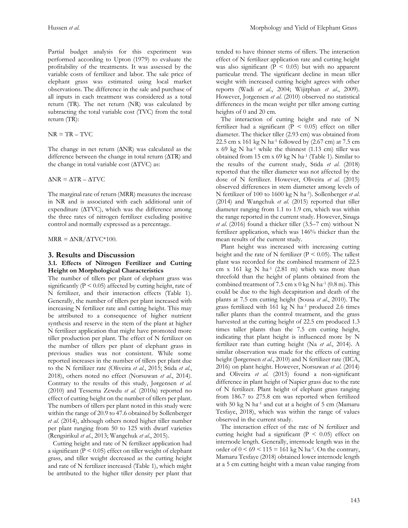Partial budget analysis for this experiment was performed according to Upton (1979) to evaluate the profitability of the treatments. It was assessed by the variable costs of fertilizer and labor. The sale price of elephant grass was estimated using local market observations. The difference in the sale and purchase of all inputs in each treatment was considered as a total return (TR). The net return (NR) was calculated by subtracting the total variable cost (TVC) from the total return (TR):

 $NR = TR - TVC$ 

The change in net return (∆NR) was calculated as the difference between the change in total return (∆TR) and the change in total variable cost (∆TVC) as:

 $\Delta$ NR =  $\Delta$ TR –  $\Delta$ TVC

The marginal rate of return (MRR) measures the increase in NR and is associated with each additional unit of expenditure (∆TVC), which was the difference among the three rates of nitrogen fertilizer excluding positive control and normally expressed as a percentage.

 $MRR = \Delta NR/\Delta TVC*100$ .

#### **3. Results and Discussion**

#### **3.1. Effects of Nitrogen Fertilizer and Cutting Height on Morphological Characteristics**

The number of tillers per plant of elephant grass was significantly ( $P < 0.05$ ) affected by cutting height, rate of N fertilizer, and their interaction effects (Table 1). Generally, the number of tillers per plant increased with increasing N fertilizer rate and cutting height. This may be attributed to a consequence of higher nutrient synthesis and reserve in the stem of the plant at higher N fertilizer application that might have promoted more tiller production per plant. The effect of N fertilizer on the number of tillers per plant of elephant grass in previous studies was not consistent. While some reported increases in the number of tillers per plant due to the N fertilizer rate (Oliveira *et al.*, 2015; Stida *et al*., 2018), others noted no effect (Norsuwan *et al*., 2014). Contrary to the results of this study, Jørgensen *et al.*  (2010) and Tessema Zewdu *et al*. (2010a) reported no effect of cutting height on the number of tillers per plant. The numbers of tillers per plant noted in this study were within the range of 20.9 to 47.6 obtained by Sollenberger *et al*. (2014), although others noted higher tiller number per plant ranging from 50 to 125 with dwarf varieties (Rengsirikul *et al*., 2013; Wangchuk *et al*., 2015).

 Cutting height and rate of N fertilizer application had a significant ( $P < 0.05$ ) effect on tiller weight of elephant grass, and tiller weight decreased as the cutting height and rate of N fertilizer increased (Table 1), which might be attributed to the higher tiller density per plant that tended to have thinner stems of tillers. The interaction effect of N fertilizer application rate and cutting height was also significant ( $P < 0.05$ ) but with no apparent particular trend. The significant decline in mean tiller weight with increased cutting height agrees with other reports (Wadi *et al*., 2004; Wijitphan *et al*., 2009). However, Jorgensen *et al*. (2010) observed no statistical differences in the mean weight per tiller among cutting heights of 0 and 20 cm.

 The interaction of cutting height and rate of N fertilizer had a significant ( $P < 0.05$ ) effect on tiller diameter. The thicker tiller (2.93 cm) was obtained from 22.5 cm x 161 kg N ha-1 followed by (2.67 cm) at 7.5 cm  $x$  69 kg N ha<sup>-1</sup> while the thinnest (1.13 cm) tiller was obtained from 15 cm x 69 kg N ha-1 (Table 1). Similar to the results of the current study, Stida *et al*. (2018) reported that the tiller diameter was not affected by the dose of N fertilizer. However, Oliveira *et al.* (2015) observed differences in stem diameter among levels of N fertilizer of 100 to 1600 kg N ha-1 ). Sollenberger *et al*. (2014) and Wangchuk *et al*. (2015) reported that tiller diameter ranging from 1.1 to 1.9 cm, which was within the range reported in the current study. However, Sinaga *et al*. (2016) found a thicker tiller (3.5–7 cm) without N fertilizer application, which was 146% thicker than the mean results of the current study.

 Plant height was increased with increasing cutting height and the rate of N fertilizer ( $P \le 0.05$ ). The tallest plant was recorded for the combined treatment of 22.5 cm x 161 kg N ha $^{-1}$  (2.81 m) which was more than threefold than the height of plants obtained from the combined treatment of  $7.5 \text{ cm} \times 0 \text{ kg N} \text{ ha}^{-1}$  (0.8 m). This could be due to the high decapitation and death of the plants at 7.5 cm cutting height (Sousa *et al.*, 2010). The grass fertilized with 161 kg N ha<sup>-1</sup> produced 2.6 times taller plants than the control treatment, and the grass harvested at the cutting height of 22.5 cm produced 1.3 times taller plants than the 7.5 cm cutting height, indicating that plant height is influenced more by N fertilizer rate than cutting height (Na *et al*., 2014). A similar observation was made for the effects of cutting height (Jørgensen *et al.*, 2010) and N fertilizer rate (IICA, 2016) on plant height. However, Norsuwan *et al*. (2014) and Oliveira *et al*. (2015) found a non-significant difference in plant height of Napier grass due to the rate of N fertilizer. Plant height of elephant grass ranging from 186.7 to 275.8 cm was reported when fertilized with 50 kg N ha<sup>-1</sup> and cut at a height of 5 cm (Mamaru Tesfaye, 2018), which was within the range of values observed in the current study.

 The interaction effect of the rate of N fertilizer and cutting height had a significant ( $P < 0.05$ ) effect on internode length. Generally, internode length was in the order of  $0 \le 69 \le 115 = 161$  kg N ha<sup>-1</sup>. On the contrary, Mamaru Tesfaye (2018) obtained lower internode length at a 5 cm cutting height with a mean value ranging from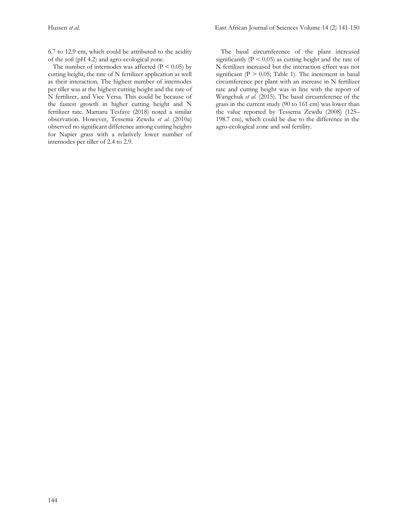6.7 to 12.9 cm, which could be attributed to the acidity of the soil (pH 4.2) and agro-ecological zone.

The number of internodes was affected  $(P < 0.05)$  by cutting height, the rate of N fertilizer application as well as their interaction. The highest number of internodes per tiller was at the highest cutting height and the rate of N fertilizer, and Vice Versa. This could be because of the fastest growth in higher cutting height and N fertilizer rate. Mamaru Tesfaye (2018) noted a similar observation. However, Tessema Zewdu *et al.* (2010a) observed no significant difference among cutting heights for Napier grass with a relatively lower number of internodes per tiller of 2.4 to 2.9.

 The basal circumference of the plant increased significantly ( $P \le 0.05$ ) as cutting height and the rate of N fertilizer increased but the interaction effect was not significant ( $P > 0.05$ ; Table 1). The increment in basal circumference per plant with an increase in N fertilizer rate and cutting height was in line with the report of Wangchuk *et al.* (2015). The basal circumference of the grass in the current study (90 to 161 cm) was lower than the value reported by Tessema Zewdu (2008) (125– 198.7 cm), which could be due to the difference in the agro-ecological zone and soil fertility.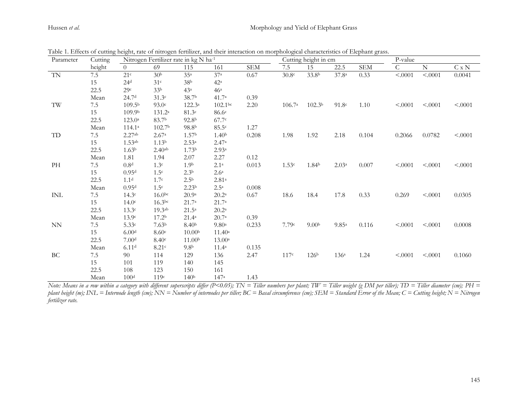## Hussen et al. **Morphology** and Yield of Elephant Grass

| Parameter          | Nitrogen Fertilizer rate in kg N ha-1<br>Cutting |                    |                    |                    |                     |             | Cutting height in cm |                    |                   |            | P-value      |             |         |
|--------------------|--------------------------------------------------|--------------------|--------------------|--------------------|---------------------|-------------|----------------------|--------------------|-------------------|------------|--------------|-------------|---------|
|                    | height                                           | $\overline{0}$     | 69                 | 115                | 161                 | ${\rm SEM}$ | 7.5                  | 15                 | 22.5              | <b>SEM</b> | $\mathsf{C}$ | $\mathbf N$ | C x N   |
| $\mbox{T}\mbox{N}$ | 7.5                                              | 21 <sup>c</sup>    | 30 <sup>b</sup>    | 35 <sup>a</sup>    | 37 <sup>a</sup>     | 0.67        | 30.8 <sup>c</sup>    | 33.8 <sup>b</sup>  | 37.8 <sup>a</sup> | 0.33       | < .0001      | < .0001     | 0.0041  |
|                    | 15                                               | 24 <sup>d</sup>    | 31 <sup>c</sup>    | 38 <sup>b</sup>    | 42 <sup>a</sup>     |             |                      |                    |                   |            |              |             |         |
|                    | 22.5                                             | 29c                | 33 <sup>b</sup>    | 43 <sup>a</sup>    | 46 <sup>a</sup>     |             |                      |                    |                   |            |              |             |         |
|                    | Mean                                             | 24.7 <sup>d</sup>  | 31.3 <sup>c</sup>  | 38.7 <sup>b</sup>  | 41.7 <sup>a</sup>   | 0.39        |                      |                    |                   |            |              |             |         |
| TW                 | $7.5\,$                                          | 109.5 <sup>b</sup> | 93.0 <sup>c</sup>  | $122.3^a$          | 102.1 <sup>bc</sup> | 2.20        | 106.7 <sup>a</sup>   | 102.3 <sup>b</sup> | 91.8 <sup>c</sup> | 1.10       | < .0001      | < .0001     | < .0001 |
|                    | 15                                               | 109.9 <sup>b</sup> | $131.2^a$          | 81.3 <sup>c</sup>  | 86.6 <sup>c</sup>   |             |                      |                    |                   |            |              |             |         |
|                    | 22.5                                             | $123.0^{\circ}$    | 83.7b              | 92.8 <sup>b</sup>  | 67.7c               |             |                      |                    |                   |            |              |             |         |
|                    | Mean                                             | 114.1 <sup>a</sup> | 102.7 <sup>b</sup> | 98.8 <sup>b</sup>  | 85.5c               | 1.27        |                      |                    |                   |            |              |             |         |
| TD                 | $7.5\,$                                          | 2.27ab             | 2.67a              | 1.57 <sup>b</sup>  | 1.40 <sup>b</sup>   | 0.208       | 1.98                 | 1.92               | 2.18              | 0.104      | 0.2066       | 0.0782      | < .0001 |
|                    | 15                                               | 1.53 <sup>ab</sup> | 1.13 <sup>b</sup>  | $2.53^{a}$         | 2.47a               |             |                      |                    |                   |            |              |             |         |
|                    | 22.5                                             | 1.63 <sup>b</sup>  | $2.40^{ab}$        | 1.73 <sup>b</sup>  | 2.93 <sup>a</sup>   |             |                      |                    |                   |            |              |             |         |
|                    | Mean                                             | 1.81               | 1.94               | 2.07               | 2.27                | 0.12        |                      |                    |                   |            |              |             |         |
| PH                 | $7.5\,$                                          | 0.8 <sup>d</sup>   | 1.3 <sup>c</sup>   | 1.9 <sup>b</sup>   | 2.1 <sup>a</sup>    | 0.013       | 1.53c                | 1.84 <sup>b</sup>  | 2.03a             | 0.007      | < .0001      | < .0001     | < .0001 |
|                    | 15                                               | 0.95 <sup>d</sup>  | 1.5 <sup>c</sup>   | 2.3 <sup>b</sup>   | 2.6 <sup>a</sup>    |             |                      |                    |                   |            |              |             |         |
|                    | 22.5                                             | 1.1 <sup>d</sup>   | 1.7 <sup>c</sup>   | 2.5 <sup>b</sup>   | $2.81^{a}$          |             |                      |                    |                   |            |              |             |         |
|                    | Mean                                             | 0.95 <sup>d</sup>  | 1.5 <sup>c</sup>   | 2.23 <sup>b</sup>  | 2.5 <sup>a</sup>    | 0.008       |                      |                    |                   |            |              |             |         |
| INL                | $7.5\,$                                          | 14.3c              | 16.0 <sub>bc</sub> | 20.9a              | $20.2^{\mathrm{a}}$ | 0.67        | 18.6                 | 18.4               | 17.8              | 0.33       | 0.269        | < .0001     | 0.0305  |
|                    | 15                                               | 14.0 <sup>c</sup>  | 16.3 <sup>bc</sup> | $21.7^{\circ}$     | $21.7^{\circ}$      |             |                      |                    |                   |            |              |             |         |
|                    | 22.5                                             | 13.3c              | 19.3 <sup>ab</sup> | $21.5^{\rm a}$     | $20.2^{\rm a}$      |             |                      |                    |                   |            |              |             |         |
|                    | Mean                                             | 13.9 <sup>c</sup>  | 17.2 <sup>b</sup>  | $21.4^{\circ}$     | 20.7 <sup>a</sup>   | 0.39        |                      |                    |                   |            |              |             |         |
| <b>NN</b>          | $7.5\,$                                          | 5.33c              | 7.63 <sup>b</sup>  | 8.40 <sup>b</sup>  | 9.80a               | 0.233       | 7.79c                | 9.00 <sub>b</sub>  | 9.85a             | 0.116      | < .0001      | < .0001     | 0.0008  |
|                    | 15                                               | 6.00 <sup>d</sup>  | 8.60c              | 10.00 <sup>b</sup> | $11.40^a$           |             |                      |                    |                   |            |              |             |         |
|                    | 22.5                                             | 7.00 <sup>d</sup>  | 8.40c              | 11.00 <sup>b</sup> | 13.00a              |             |                      |                    |                   |            |              |             |         |
|                    | Mean                                             | 6.11 <sup>d</sup>  | 8.21c              | 9.8 <sup>b</sup>   | 11.4 <sup>a</sup>   | 0.135       |                      |                    |                   |            |              |             |         |
| BC                 | $7.5\,$                                          | 90                 | 114                | 129                | 136                 | 2.47        | 117c                 | 126 <sup>b</sup>   | 136 <sup>a</sup>  | 1.24       | < .0001      | < .0001     | 0.1060  |
|                    | 15                                               | 101                | 119                | 140                | 145                 |             |                      |                    |                   |            |              |             |         |
|                    | 22.5                                             | 108                | 123                | 150                | 161                 |             |                      |                    |                   |            |              |             |         |
|                    | Mean                                             | 100 <sup>d</sup>   | 119c               | 140 <sup>b</sup>   | 147a                | 1.43        |                      |                    |                   |            |              |             |         |

Table 1. Effects of cutting height, rate of nitrogen fertilizer, and their interaction on morphological characteristics of Elephant grass.

*Note: Means in a row within a category with different superscripts differ (P<0.05); TN = Tiller numbers per plant; TW = Tiller weight (g DM per tiller); TD = Tiller diameter (cm); PH =*  plant height (m); INL = Internode length (cm); NN = Number of internodes per tiller; BC = Basal circumference (cm); SEM = Standard Error of the Mean; C = Cutting height; N = Nitrogen *fertilizer rate.*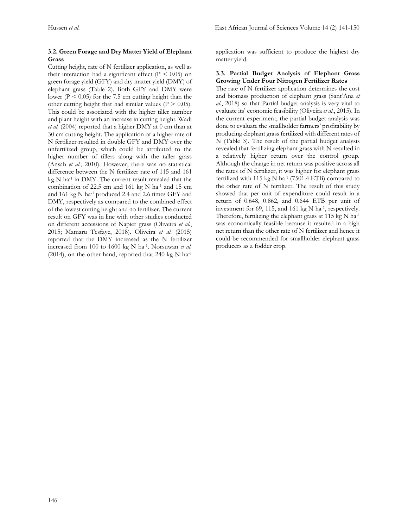### **3.2. Green Forage and Dry Matter Yield of Elephant Grass**

Cutting height, rate of N fertilizer application, as well as their interaction had a significant effect ( $P < 0.05$ ) on green forage yield (GFY) and dry matter yield (DMY) of elephant grass (Table 2). Both GFY and DMY were lower ( $P \le 0.05$ ) for the 7.5 cm cutting height than the other cutting height that had similar values ( $P > 0.05$ ). This could be associated with the higher tiller number and plant height with an increase in cutting height. Wadi *et al.* (2004) reported that a higher DMY at 0 cm than at 30 cm cutting height. The application of a higher rate of N fertilizer resulted in double GFY and DMY over the unfertilized group, which could be attributed to the higher number of tillers along with the taller grass (Ansah *et al.*, 2010). However, there was no statistical difference between the N fertilizer rate of 115 and 161 kg N ha-1 in DMY. The current result revealed that the combination of 22.5 cm and 161 kg N ha<sup>-1</sup> and 15 cm and 161 kg N ha<sup>-1</sup> produced 2.4 and 2.6 times GFY and DMY, respectively as compared to the combined effect of the lowest cutting height and no fertilizer. The current result on GFY was in line with other studies conducted on different accessions of Napier grass (Oliveira *et al.*, 2015; Mamaru Tesfaye, 2018). Oliveira *et al.* (2015) reported that the DMY increased as the N fertilizer increased from 100 to 1600 kg N ha-1 . Norsuwan *et al.* (2014), on the other hand, reported that 240 kg N ha<sup>-1</sup>

application was sufficient to produce the highest dry matter yield.

#### **3.3. Partial Budget Analysis of Elephant Grass Growing Under Four Nitrogen Fertilizer Rates**

The rate of N fertilizer application determines the cost and biomass production of elephant grass (Sant'Ana *et al.*, 2018) so that Partial budget analysis is very vital to evaluate its' economic feasibility (Oliveira *et al.*, 2015). In the current experiment, the partial budget analysis was done to evaluate the smallholder farmers' profitability by producing elephant grass fertilized with different rates of N (Table 3). The result of the partial budget analysis revealed that fertilizing elephant grass with N resulted in a relatively higher return over the control group. Although the change in net return was positive across all the rates of N fertilizer, it was higher for elephant grass fertilized with  $115 \text{ kg} \text{ N}$  ha<sup>-1</sup> (7501.4 ETB) compared to the other rate of N fertilizer. The result of this study showed that per unit of expenditure could result in a return of 0.648, 0.862, and 0.644 ETB per unit of investment for 69, 115, and 161 kg N ha<sup>-1</sup>, respectively. Therefore, fertilizing the elephant grass at 115 kg N ha<sup>-1</sup> was economically feasible because it resulted in a high net return than the other rate of N fertilizer and hence it could be recommended for smallholder elephant grass producers as a fodder crop.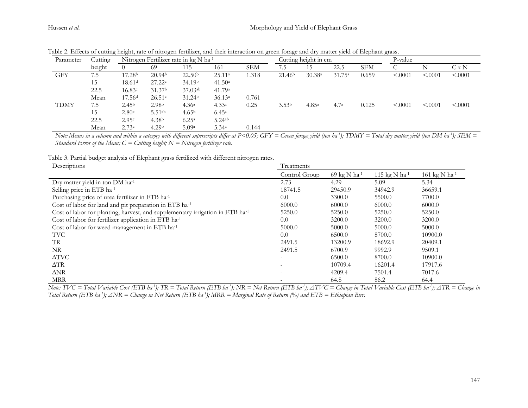| Parameter   | Cutting<br>height | Nitrogen Fertilizer rate in kg N ha-1 |                    |                    |                    |       | Cutting height in cm |                   |                    |            | P-value |          |              |
|-------------|-------------------|---------------------------------------|--------------------|--------------------|--------------------|-------|----------------------|-------------------|--------------------|------------|---------|----------|--------------|
|             |                   |                                       | 69                 | 115                | 161                | SEM   | 7.5                  | 15                | 22.5               | <b>SEM</b> |         | Ν        | $C \times N$ |
| GFY         | 7.5               | 17.28 <sup>b</sup>                    | 20.94 <sup>b</sup> | 22.50 <sup>b</sup> | 25.11 <sup>a</sup> | .318  | 21.46 <sup>b</sup>   | 30.38a            | 31.75 <sup>a</sup> | 0.659      | < .0001 | < .0001  | < .0001      |
|             | 15                | 18.61 <sup>d</sup>                    | 27.22c             | 34.19 <sup>b</sup> | 41.50 <sup>a</sup> |       |                      |                   |                    |            |         |          |              |
|             | 22.5              | 16.83c                                | 31.37 <sup>b</sup> | $37.03^{ab}$       | 41.79 <sup>a</sup> |       |                      |                   |                    |            |         |          |              |
|             | Mean              | 17.56 <sup>d</sup>                    | 26.51c             | 31.24 <sup>b</sup> | 36.13a             | 0.761 |                      |                   |                    |            |         |          |              |
| <b>TDMY</b> | 7.5               | 2.45 <sup>b</sup>                     | 2.98 <sup>b</sup>  | 4.36 <sup>a</sup>  | 4.33 <sup>a</sup>  | 0.25  | 3.53 <sup>b</sup>    | 4.85 <sup>a</sup> | 4.7 <sup>a</sup>   | 0.125      | < .0001 | < 0.0001 | < .0001      |
|             | 15                | 2.80c                                 | $5.51^{ab}$        | 4.65 <sup>b</sup>  | $6.45^{\circ}$     |       |                      |                   |                    |            |         |          |              |
|             | 22.5              | 2.95c                                 | 4.38 <sup>b</sup>  | $6.25^{\rm a}$     | $5.24^{ab}$        |       |                      |                   |                    |            |         |          |              |
|             | Mean              | 2.73c                                 | 4.29 <sup>b</sup>  | 5.09a              | 5.34 <sup>a</sup>  | 0.144 |                      |                   |                    |            |         |          |              |

Table 2. Effects of cutting height, rate of nitrogen fertilizer, and their interaction on green forage and dry matter yield of Elephant grass.

Note: Means in a column and within a category with different superscripts differ at P<0.05; GFY = Green forage yield (ton ba<sup>1</sup>); TDMY = Total dry matter yield (ton DM ba<sup>-1</sup>); SEM = *Standard Error of the Mean;*  $C =$  *Cutting height; N*  $\equiv$  *Nitrogen fertilizer rate.* 

Table 3. Partial budget analysis of Elephant grass fertilized with different nitrogen rates.

| Descriptions                                                                              | Treatments               |              |                             |               |  |  |  |
|-------------------------------------------------------------------------------------------|--------------------------|--------------|-----------------------------|---------------|--|--|--|
|                                                                                           | Control Group            | 69 kg N ha-1 | 115 kg $N$ ha <sup>-1</sup> | 161 kg N ha-1 |  |  |  |
| Dry matter yield in ton DM ha-1                                                           | 2.73                     | 4.29         | 5.09                        | 5.34          |  |  |  |
| Selling price in ETB ha-1                                                                 | 18741.5                  | 29450.9      | 34942.9                     | 36659.1       |  |  |  |
| Purchasing price of urea fertilizer in ETB ha <sup>-1</sup>                               | 0.0                      | 3300.0       | 5500.0                      | 7700.0        |  |  |  |
| Cost of labor for land and pit preparation in ETB ha-1                                    | 6000.0                   | 6000.0       | 6000.0                      | 6000.0        |  |  |  |
| Cost of labor for planting, harvest, and supplementary irrigation in ETB ha <sup>-1</sup> | 5250.0                   | 5250.0       | 5250.0                      | 5250.0        |  |  |  |
| Cost of labor for fertilizer application in ETB ha <sup>-1</sup>                          | 0.0                      | 3200.0       | 3200.0                      | 3200.0        |  |  |  |
| Cost of labor for weed management in ETB ha-1                                             | 5000.0                   | 5000.0       | 5000.0                      | 5000.0        |  |  |  |
| <b>TVC</b>                                                                                | 0.0                      | 6500.0       | 8700.0                      | 10900.0       |  |  |  |
| TR.                                                                                       | 2491.5                   | 13200.9      | 18692.9                     | 20409.1       |  |  |  |
| NR                                                                                        | 2491.5                   | 6700.9       | 9992.9                      | 9509.1        |  |  |  |
| $\Delta TVC$                                                                              | $\overline{\phantom{0}}$ | 6500.0       | 8700.0                      | 10900.0       |  |  |  |
| $\Delta TR$                                                                               |                          | 10709.4      | 16201.4                     | 17917.6       |  |  |  |
| $\Delta NR$                                                                               |                          | 4209.4       | 7501.4                      | 7017.6        |  |  |  |
| <b>MRR</b>                                                                                |                          | 64.8         | 86.2                        | 64.4          |  |  |  |

Note: TVC = Total Variable Cost (ETB ha<sup>1</sup>); TR = Total Return (ETB ha<sup>-1</sup>); NR = Net Return (ETB ha<sup>-1</sup>);  $\triangle$ TVC = Change in Total Variable Cost (ETB ha<sup>-1</sup>);  $\triangle$ TR = Change in *Total Return (ETB ha -1 ); ΔNR = Change in Net Return (ETB ha-1 ); MRR = Marginal Rate of Return (%) and ETB = Ethiopian Birr.*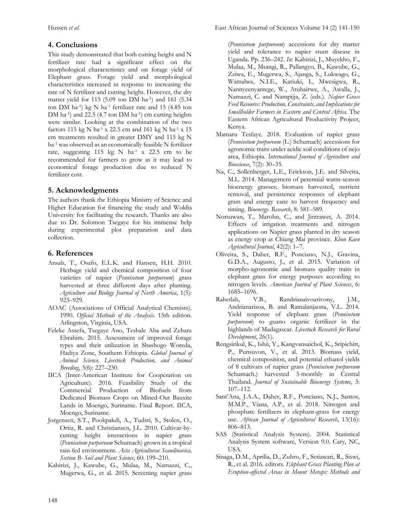# **4. Conclusions**

This study demonstrated that both cutting height and N fertilizer rate had a significant effect on the morphological characteristics and on forage yield of Elephant grass. Forage yield and morphological characteristics increased in response to increasing the rate of N fertilizer and cutting height. However, the dry matter yield for 115 (5.09 ton DM ha-1 ) and 161 (5.34 ton DM ha<sup>-1</sup>) kg N ha<sup>-1</sup> fertilizer rate and 15 (4.85 ton DM ha<sup>-1</sup>) and 22.5 (4.7 ton DM ha<sup>-1</sup>) cm cutting heights were similar. Looking at the combination of the two factors 115 kg N ha-1 x 22.5 cm and 161 kg N ha-1 x 15 cm treatments resulted in greater DMY and 115 kg N ha<sup>-1</sup> was observed as an economically feasible N fertilizer rate, suggesting  $115 \text{ kg}$  N ha<sup>-1</sup> x 22.5 cm to be recommended for farmers to grow as it may lead to economical forage production due to reduced N fertilizer cost.

# **5. Acknowledgments**

The authors thank the Ethiopia Ministry of Science and Higher Education for financing the study and Woldia University for facilitating the research. Thanks are also due to Dr. Solomon Tsegaye for his immense help during experimental plot preparation and data collection.

# **6. References**

- Ansah, T., Osafo, E.L.K. and Hansen, H.H. 2010. Herbage yield and chemical composition of four varieties of napier (*Pennisetum purpureum*) grass harvested at three different days after planting. *Agriculture and Biology Journal of North America*, 1(5): 923–929.
- AOAC (Associations of Official Analytical Chemists). 1990. *Official Methods of the Analysis*. 15th edition. Arlingston, Virginia, USA.
- Feleke Assefa, Tsegaye Ano, Teshale Aba and Zehara Ebrahim. 2015. Assessment of improved forage types and their utilization in Shashogo Woreda, Hadiya Zone, Southern Ethiopia. *Global Journal of Animal Science, Livestock Production, and Animal Breeding*, 3(6): 227–230.
- IICA (Inter-American Institute for Cooperation on Agriculture). 2016. Feasibility Study of the Commercial Production of Biofuels from Dedicated Biomass Crops on Mined-Out Bauxite Lands in Moengo, Suriname. Final Report. IICA, Moengo, Suriname.
- Jorgensen, S.T., Pookpakdi, A., Tudsri, S., Stolen, O., Ortiz, R. and Christiansen, J.L. 2010. Cultivar-bycutting height interactions in napier grass (*Pennisetum purpureum* Schumach) grown in a tropical rain-fed environment. *Acta Agriculturae Scandinavica, Section B- Soil and Plant Science*, 60: 199–210.
- Kabirizi, J., Kawube, G., Mulaa, M., Namazzi, C., Mugerwa, G., et al. 2015. Screening napier grass

(*Pennisetum purpureum*) accessions for dry matter yield and tolerance to napier stunt disease in Uganda. Pp. 236–242. *In*: Kabirizi, J., Muyekho, F., Mulaa, M., Msangi, R., Pallangyo, B., Kawube, G., Zziwa, E., Mugerwa, S., Ajanga, S., Lukwago, G., Wamalwa, N.I.E., Kariuki, I., Mwesigwa, R., Nannyeenyantege, W., Atuhairwe, A., Awalla, J., Namazzi, C. and Nampijja, Z. (eds.). *Napier Grass Feed Resource: Production, Constraints, and Implications for Smallholder Farmers in Eastern and Central Africa*. The Eastern African Agricultural Productivity Project, Kenya.

- Mamaru Tesfaye. 2018. Evaluation of napier grass (*Pennisetum purpureum* (L.) Schumach) accessions for agronomic traits under acidic soil conditions of nejo area, Ethiopia. *International Journal of Agriculture and Bioscience*, 7(2): 30–35.
- Na, C., Sollenberger, L.E., Erickson, J.E. and Silveira, M.L. 2014. Management of perennial warm-season bioenergy grasses; biomass harvested, nutrient removal, and persistence responses of elephant grass and energy cane to harvest frequency and timing. *Bioenergy. Research*, 8: 581–589.
- Norsuwan, T., Marohn, C., and Jintrawet, A. 2014. Effects of irrigation treatments and nitrogen applications on Napier grass planted in dry season as energy crop at Chiang Mai province. *Khon Kaen Agricultural Journal*, 42(2): 1–7.
- Oliveira, S., Daher, R.F., Ponciano, N.J., Gravina, G.D.A., Augusto, J., et al. 2015. Variation of morpho-agronomic and biomass quality traits in elephant grass for energy purposes according to nitrogen levels. *American Journal of Plant Sciences*, 6: 1685–1696.
- Rahetlah, V.B., Randrianaivoarivony, J.M., Andrianarisoa, B. and Ramalanjaona, V.L. 2014. Yield response of elephant grass (*Pennisetum purpureum*) to guano organic fertilizer in the highlands of Madagascar. *Livestock Research for Rural Development*, 26(1).
- Rengsirikul, K., Ishii, Y., Kangvansaichol, K., Sripichitt, P., Punsuvon, V., et al. 2013. Biomass yield, chemical composition, and potential ethanol yields of 8 cultivars of napier grass (*Pennisetum purpureum*  Schumach.) harvested 3-monthly in Central Thailand. *Journal of Sustainable Bioenergy Systems*, 3: 107–112.
- Sant'Ana, J.A.A., Daher, R.F., Ponciano, N.J., Santos, M.M.P., Viana, A.P., et al. 2018. Nitrogen and phosphate fertilizers in elephant-grass for energy use. *African Journal of Agricultural Research*, 13(16): 806–813.
- SAS (Statistical Analysis System). 2004. Statistical Analysis System software, Version 9.0. Cary, NC, USA.
- Sinaga, D.M., Aprilia, D., Zuhro, F., Setiawati, R., Siswi, R., et al. 2016. editors. *Elephant Grass Planting Plan at Eruption-affected Areas in Mount Merapi: Methods and*